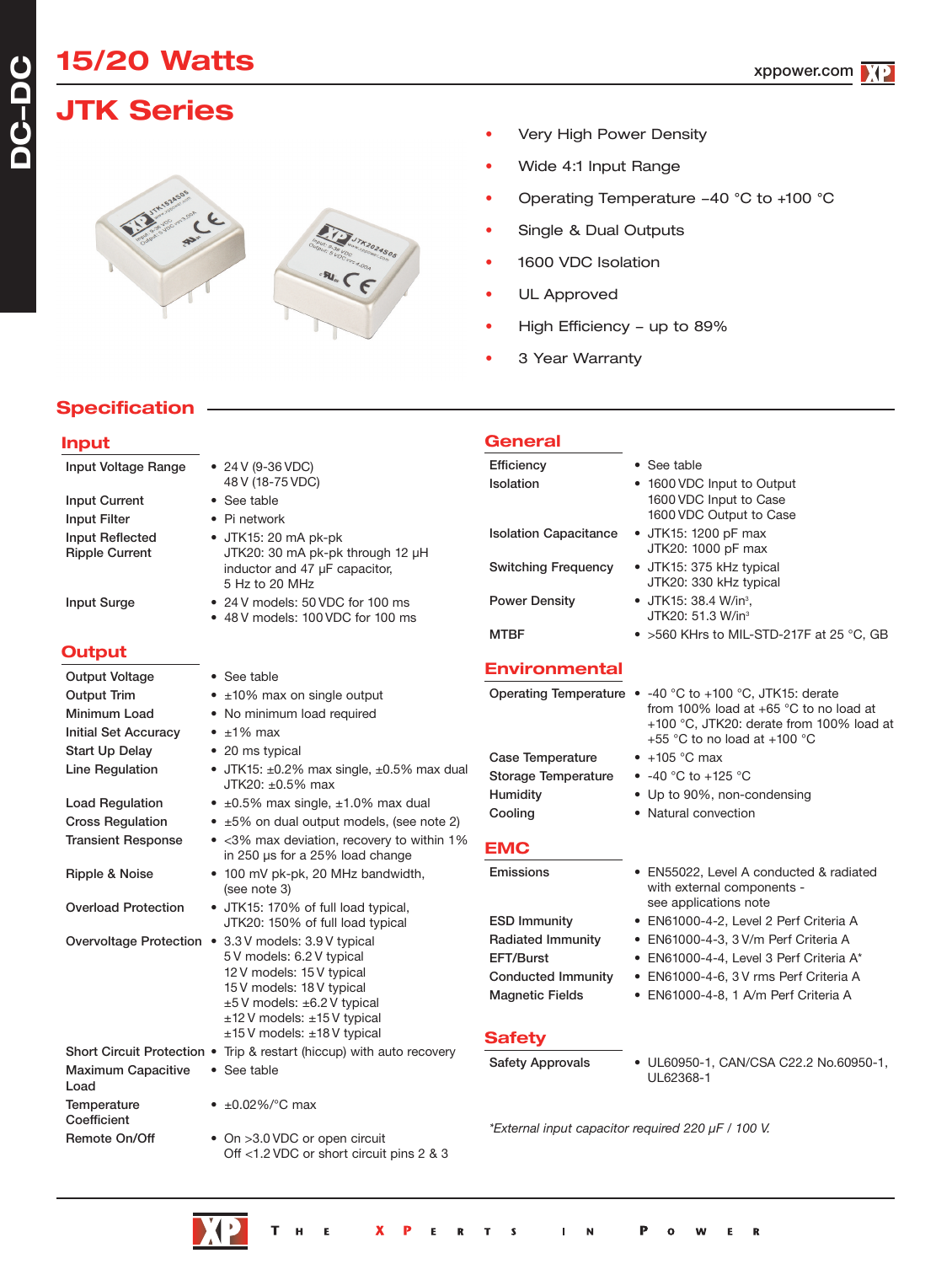# **15/20 Watts**

## **JTK Series**



- Very High Power Density
- Wide 4:1 Input Range
- Operating Temperature -40 °C to +100 °C
- Single & Dual Outputs
- 1600 VDC Isolation
- UL Approved

**General**

- High Efficiency up to 89%
- 3 Year Warranty

## **Specification**

| ٩ | v |     |
|---|---|-----|
|   |   | ___ |

**DC - D C**

| Input Voltage Range               | • 24 V (9-36 VDC)<br>48 V (18-75 VDC)                                               | <b>Efficiency</b><br>Isolation         | • See table<br>• 1600 VDC Input to Output                                          |
|-----------------------------------|-------------------------------------------------------------------------------------|----------------------------------------|------------------------------------------------------------------------------------|
| <b>Input Current</b>              | • See table                                                                         |                                        | 1600 VDC Input to Case                                                             |
| <b>Input Filter</b>               | • Pi network                                                                        |                                        | 1600 VDC Output to Case                                                            |
| Input Reflected                   | · JTK15: 20 mA pk-pk                                                                | <b>Isolation Capacitance</b>           | • JTK15: 1200 pF max<br>JTK20: 1000 pF max                                         |
| <b>Ripple Current</b>             | JTK20: 30 mA pk-pk through 12 µH<br>inductor and 47 µF capacitor,<br>5 Hz to 20 MHz | <b>Switching Frequency</b>             | • JTK15: 375 kHz typical<br>JTK20: 330 kHz typical                                 |
| <b>Input Surge</b>                | • 24 V models: 50 VDC for 100 ms<br>• 48 V models: 100 VDC for 100 ms               | <b>Power Density</b>                   | • JTK15: 38.4 W/in <sup>3</sup> .<br>JTK20: 51.3 W/in <sup>3</sup>                 |
|                                   |                                                                                     | <b>MTBF</b>                            | $\bullet$ >560 KHrs to MIL-STD-217F at 25 °C, GB                                   |
| <b>Output</b>                     |                                                                                     |                                        |                                                                                    |
| <b>Output Voltage</b>             | • See table                                                                         | <b>Environmental</b>                   |                                                                                    |
| <b>Output Trim</b>                | • ±10% max on single output                                                         |                                        | Operating Temperature • -40 °C to +100 °C, JTK15: derate                           |
| Minimum Load                      | • No minimum load required                                                          |                                        | from 100% load at +65 °C to no load at<br>+100 °C, JTK20: derate from 100% load at |
| <b>Initial Set Accuracy</b>       | $\cdot$ ±1% max                                                                     |                                        | +55 °C to no load at +100 °C                                                       |
| <b>Start Up Delay</b>             | • 20 ms typical                                                                     | <b>Case Temperature</b>                | $\bullet$ +105 °C max                                                              |
| Line Regulation                   | • JTK15: $\pm 0.2\%$ max single, $\pm 0.5\%$ max dual<br>JTK20: ±0.5% max           | <b>Storage Temperature</b>             | • $-40$ °C to $+125$ °C                                                            |
| <b>Load Regulation</b>            | • $\pm 0.5\%$ max single, $\pm 1.0\%$ max dual                                      | Humidity                               | • Up to 90%, non-condensing                                                        |
| <b>Cross Regulation</b>           | $\bullet$ ±5% on dual output models, (see note 2)                                   | Cooling                                | • Natural convection                                                               |
| <b>Transient Response</b>         | • < 3% max deviation, recovery to within 1%<br>in 250 µs for a 25% load change      | <b>EMC</b>                             |                                                                                    |
| Ripple & Noise                    | • 100 mV pk-pk, 20 MHz bandwidth,<br>(see note 3)                                   | Emissions                              | • EN55022, Level A conducted & radiated<br>with external components -              |
| <b>Overload Protection</b>        | • JTK15: 170% of full load typical,                                                 |                                        | see applications note                                                              |
|                                   | JTK20: 150% of full load typical                                                    | <b>ESD Immunity</b>                    | • EN61000-4-2, Level 2 Perf Criteria A                                             |
|                                   | Overvoltage Protection • 3.3 V models: 3.9 V typical<br>5V models: 6.2V typical     | <b>Radiated Immunity</b>               | • EN61000-4-3, 3 V/m Perf Criteria A                                               |
|                                   | 12 V models: 15 V typical                                                           | EFT/Burst<br><b>Conducted Immunity</b> | • EN61000-4-4, Level 3 Perf Criteria A*                                            |
|                                   | 15 V models: 18 V typical                                                           | <b>Magnetic Fields</b>                 | • EN61000-4-6, 3V rms Perf Criteria A<br>• EN61000-4-8, 1 A/m Perf Criteria A      |
|                                   | $±5V$ models: $±6.2V$ typical                                                       |                                        |                                                                                    |
|                                   | $±12$ V models: $±15$ V typical<br>±15 V models: ±18 V typical                      |                                        |                                                                                    |
| Short Circuit Protection •        | Trip & restart (hiccup) with auto recovery                                          | <b>Safety</b>                          |                                                                                    |
| <b>Maximum Capacitive</b><br>Load | • See table                                                                         | <b>Safety Approvals</b>                | • UL60950-1, CAN/CSA C22.2 No.60950-1,<br>UL62368-1                                |
| Temperature<br>Coefficient        | • $\pm 0.02\%$ / °C max                                                             |                                        |                                                                                    |
| Remote On/Off                     | • On >3.0 VDC or open circuit<br>Off <1.2 VDC or short circuit pins 2 & 3           |                                        | *External input capacitor required 220 µF / 100 V.                                 |



 $\overline{\mathbf{R}}$